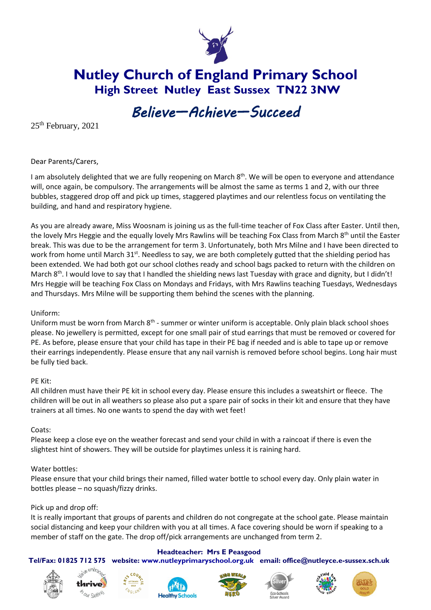

**Nutley Church of England Primary School High Street Nutley East Sussex TN22 3NW**

# *Believe—Achieve—Succeed*

25<sup>th</sup> February, 2021

Dear Parents/Carers,

I am absolutely delighted that we are fully reopening on March 8<sup>th</sup>. We will be open to everyone and attendance will, once again, be compulsory. The arrangements will be almost the same as terms 1 and 2, with our three bubbles, staggered drop off and pick up times, staggered playtimes and our relentless focus on ventilating the building, and hand and respiratory hygiene.

As you are already aware, Miss Woosnam is joining us as the full-time teacher of Fox Class after Easter. Until then, the lovely Mrs Heggie and the equally lovely Mrs Rawlins will be teaching Fox Class from March 8<sup>th</sup> until the Easter break. This was due to be the arrangement for term 3. Unfortunately, both Mrs Milne and I have been directed to work from home until March 31<sup>st</sup>. Needless to say, we are both completely gutted that the shielding period has been extended. We had both got our school clothes ready and school bags packed to return with the children on March 8<sup>th</sup>. I would love to say that I handled the shielding news last Tuesday with grace and dignity, but I didn't! Mrs Heggie will be teaching Fox Class on Mondays and Fridays, with Mrs Rawlins teaching Tuesdays, Wednesdays and Thursdays. Mrs Milne will be supporting them behind the scenes with the planning.

# Uniform:

Uniform must be worn from March 8<sup>th</sup> - summer or winter uniform is acceptable. Only plain black school shoes please. No jewellery is permitted, except for one small pair of stud earrings that must be removed or covered for PE. As before, please ensure that your child has tape in their PE bag if needed and is able to tape up or remove their earrings independently. Please ensure that any nail varnish is removed before school begins. Long hair must be fully tied back.

#### PE Kit:

All children must have their PE kit in school every day. Please ensure this includes a sweatshirt or fleece. The children will be out in all weathers so please also put a spare pair of socks in their kit and ensure that they have trainers at all times. No one wants to spend the day with wet feet!

#### Coats:

Please keep a close eye on the weather forecast and send your child in with a raincoat if there is even the slightest hint of showers. They will be outside for playtimes unless it is raining hard.

# Water bottles:

Please ensure that your child brings their named, filled water bottle to school every day. Only plain water in bottles please – no squash/fizzy drinks.

#### Pick up and drop off:

It is really important that groups of parents and children do not congregate at the school gate. Please maintain social distancing and keep your children with you at all times. A face covering should be worn if speaking to a member of staff on the gate. The drop off/pick arrangements are unchanged from term 2.

#### **Headteacher: Mrs E Peasgood**

**Tel/Fax: 01825 712 575 website: [www.nutleyprimaryschool.org.uk](http://www.nutleyprimaryschool.org.uk/) email: [office@nutleyce.e-sussex.sch.uk](mailto:office@nutleyce.e-sussex.sch.uk)**